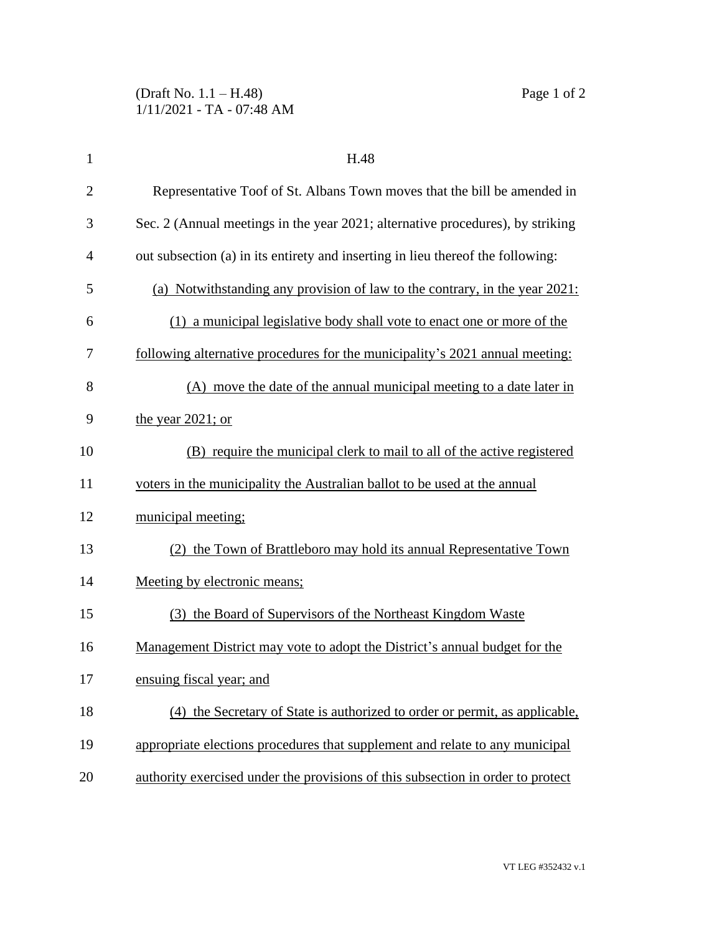| 1              | H.48                                                                            |
|----------------|---------------------------------------------------------------------------------|
| $\overline{2}$ | Representative Toof of St. Albans Town moves that the bill be amended in        |
| 3              | Sec. 2 (Annual meetings in the year 2021; alternative procedures), by striking  |
| $\overline{4}$ | out subsection (a) in its entirety and inserting in lieu thereof the following: |
| 5              | (a) Notwithstanding any provision of law to the contrary, in the year 2021:     |
| 6              | (1) a municipal legislative body shall vote to enact one or more of the         |
| 7              | following alternative procedures for the municipality's 2021 annual meeting:    |
| 8              | (A) move the date of the annual municipal meeting to a date later in            |
| 9              | the year $2021$ ; or                                                            |
| 10             | (B) require the municipal clerk to mail to all of the active registered         |
| 11             | voters in the municipality the Australian ballot to be used at the annual       |
| 12             | municipal meeting;                                                              |
| 13             | (2) the Town of Brattleboro may hold its annual Representative Town             |
| 14             | Meeting by electronic means;                                                    |
| 15             | (3) the Board of Supervisors of the Northeast Kingdom Waste                     |
| 16             | Management District may vote to adopt the District's annual budget for the      |
| 17             | ensuing fiscal year; and                                                        |
| 18             | (4) the Secretary of State is authorized to order or permit, as applicable,     |
| 19             | appropriate elections procedures that supplement and relate to any municipal    |
| 20             | authority exercised under the provisions of this subsection in order to protect |